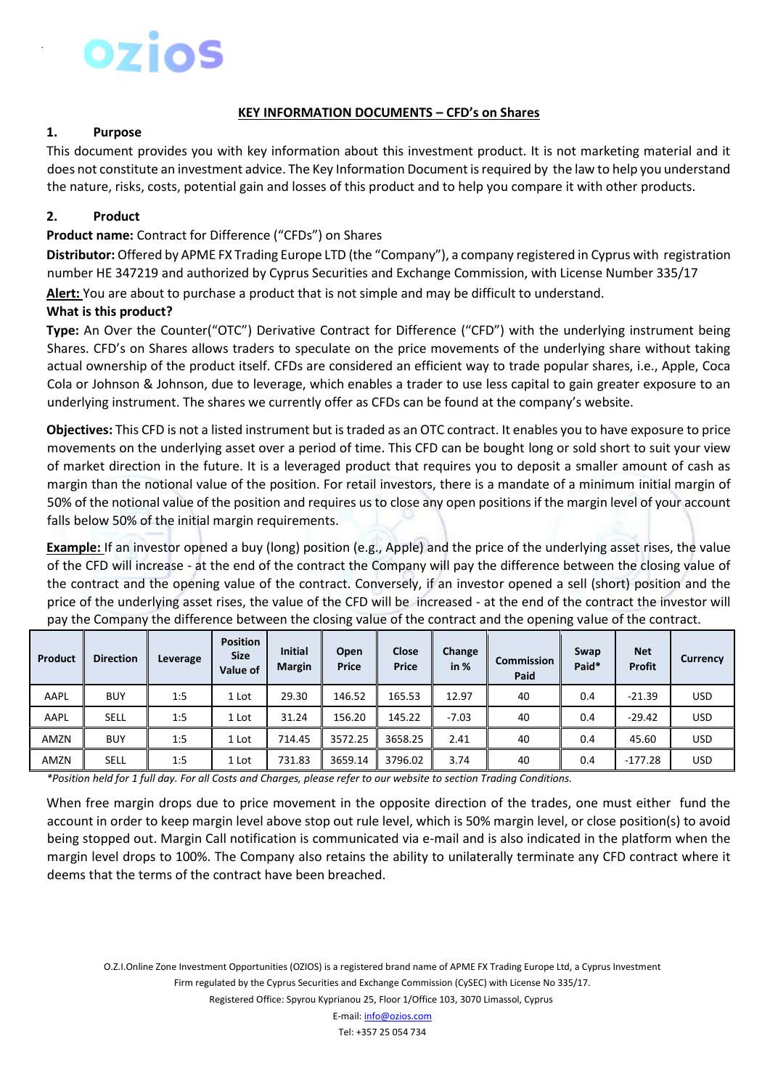# Ozios

#### **KEY INFORMATION DOCUMENTS – CFD's on Shares**

### **1. Purpose**

This document provides you with key information about this investment product. It is not marketing material and it does not constitute an investment advice. The Key Information Document is required by the law to help you understand the nature, risks, costs, potential gain and losses of this product and to help you compare it with other products.

## **2. Product**

#### **Product name:** Contract for Difference ("CFDs") on Shares

**Distributor:** Offered by APME FX Trading Europe LTD (the "Company"), a company registered in Cyprus with registration number HE 347219 and authorized by Cyprus Securities and Exchange Commission, with License Number 335/17

**Alert:** You are about to purchase a product that is not simple and may be difficult to understand.

#### **What is this product?**

**Type:** An Over the Counter("OTC") Derivative Contract for Difference ("CFD") with the underlying instrument being Shares. CFD's on Shares allows traders to speculate on the price movements of the underlying share without taking actual ownership of the product itself. CFDs are considered an efficient way to trade popular shares, i.e., Apple, Coca Cola or Johnson & Johnson, due to leverage, which enables a trader to use less capital to gain greater exposure to an underlying instrument. The shares we currently offer as CFDs can be found at the company's website.

**Objectives:** This CFD is not a listed instrument but is traded as an OTC contract. It enables you to have exposure to price movements on the underlying asset over a period of time. This CFD can be bought long or sold short to suit your view of market direction in the future. It is a leveraged product that requires you to deposit a smaller amount of cash as margin than the notional value of the position. For retail investors, there is a mandate of a minimum initial margin of 50% of the notional value of the position and requires us to close any open positions if the margin level of your account falls below 50% of the initial margin requirements.

**Example:** If an investor opened a buy (long) position (e.g., Apple) and the price of the underlying asset rises, the value of the CFD will increase - at the end of the contract the Company will pay the difference between the closing value of the contract and the opening value of the contract. Conversely, if an investor opened a sell (short) position and the price of the underlying asset rises, the value of the CFD will be increased - at the end of the contract the investor will pay the Company the difference between the closing value of the contract and the opening value of the contract.

| Product | <b>Direction</b> | Leverage | <b>Position</b><br><b>Size</b><br>Value of | <b>Initial</b><br><b>Margin</b> | Open<br>Price | Close<br>Price | Change<br>in $%$ | <b>Commission</b><br>Paid | Swap<br>Paid* | <b>Net</b><br><b>Profit</b> | <b>Currency</b> |
|---------|------------------|----------|--------------------------------------------|---------------------------------|---------------|----------------|------------------|---------------------------|---------------|-----------------------------|-----------------|
| AAPL    | <b>BUY</b>       | 1:5      | 1 Lot                                      | 29.30                           | 146.52        | 165.53         | 12.97            | 40                        | 0.4           | $-21.39$                    | <b>USD</b>      |
| AAPL    | <b>SELL</b>      | 1:5      | 1 Lot                                      | 31.24                           | 156.20        | 145.22         | $-7.03$          | 40                        | 0.4           | $-29.42$                    | <b>USD</b>      |
| AMZN    | <b>BUY</b>       | 1:5      | 1 Lot                                      | 714.45                          | 3572.25       | 3658.25        | 2.41             | 40                        | 0.4           | 45.60                       | USD.            |
| AMZN    | SELL             | 1:5      | 1 Lot                                      | 731.83                          | 3659.14       | 3796.02        | 3.74             | 40                        | 0.4           | $-177.28$                   | <b>USD</b>      |

*\*Position held for 1 full day. For all Costs and Charges, please refer to our website to section Trading Conditions.* 

When free margin drops due to price movement in the opposite direction of the trades, one must either fund the account in order to keep margin level above stop out rule level, which is 50% margin level, or close position(s) to avoid being stopped out. Margin Call notification is communicated via e-mail and is also indicated in the platform when the margin level drops to 100%. The Company also retains the ability to unilaterally terminate any CFD contract where it deems that the terms of the contract have been breached.

O.Z.I.Online Zone Investment Opportunities (OZIOS) is a registered brand name of APME FX Trading Europe Ltd, a Cyprus Investment Firm regulated by the Cyprus Securities and Exchange Commission (CySEC) with License No 335/17.

Registered Office: Spyrou Kyprianou 25, Floor 1/Office 103, 3070 Limassol, Cyprus

E-mail: info@ozios.com Tel: +357 25 054 734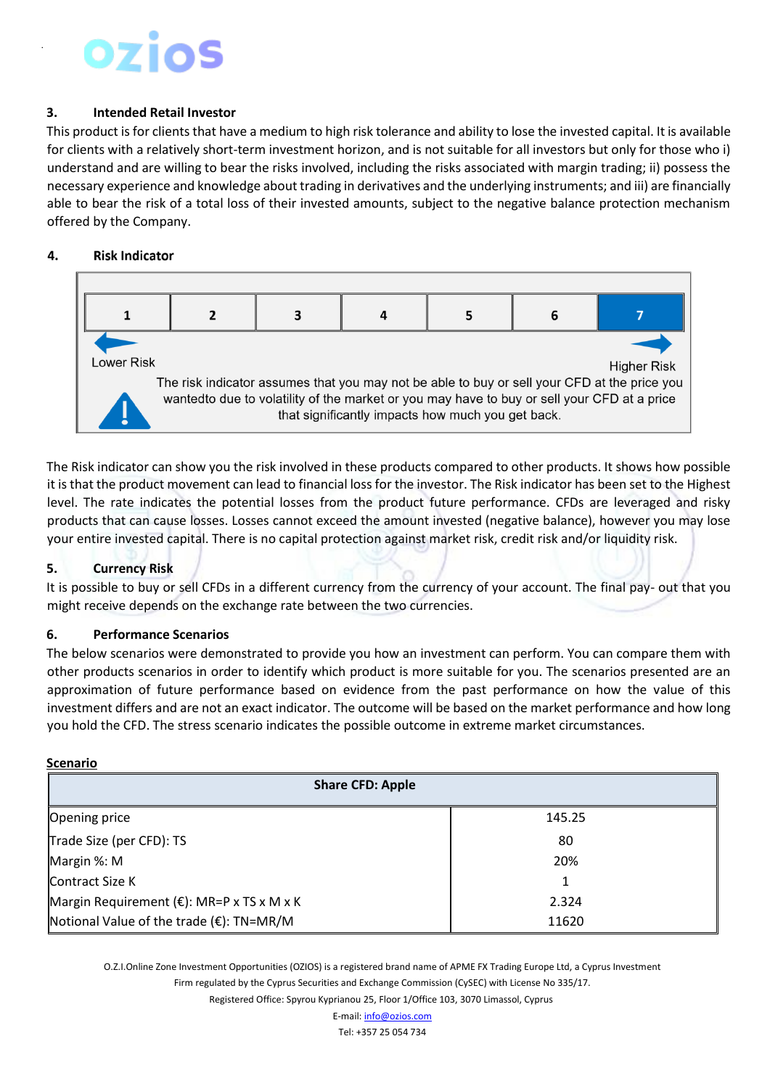### **3. Intended Retail Investor**

This product is for clients that have a medium to high risk tolerance and ability to lose the invested capital. It is available for clients with a relatively short-term investment horizon, and is not suitable for all investors but only for those who i) understand and are willing to bear the risks involved, including the risks associated with margin trading; ii) possess the necessary experience and knowledge about trading in derivatives and the underlying instruments; and iii) are financially able to bear the risk of a total loss of their invested amounts, subject to the negative balance protection mechanism offered by the Company.

#### **Risk Indicator** 4.



The Risk indicator can show you the risk involved in these products compared to other products. It shows how possible it is that the product movement can lead to financial loss for the investor. The Risk indicator has been set to the Highest level. The rate indicates the potential losses from the product future performance. CFDs are leveraged and risky products that can cause losses. Losses cannot exceed the amount invested (negative balance), however you may lose your entire invested capital. There is no capital protection against market risk, credit risk and/or liquidity risk.

#### **5. Currency Risk**

It is possible to buy or sell CFDs in a different currency from the currency of your account. The final pay- out that you might receive depends on the exchange rate between the two currencies.

#### **6. Performance Scenarios**

The below scenarios were demonstrated to provide you how an investment can perform. You can compare them with other products scenarios in order to identify which product is more suitable for you. The scenarios presented are an approximation of future performance based on evidence from the past performance on how the value of this investment differs and are not an exact indicator. The outcome will be based on the market performance and how long you hold the CFD. The stress scenario indicates the possible outcome in extreme market circumstances.

#### **Scenario**

| <b>Share CFD: Apple</b>                              |        |  |  |  |  |  |
|------------------------------------------------------|--------|--|--|--|--|--|
| <b>Opening price</b>                                 | 145.25 |  |  |  |  |  |
| Trade Size (per CFD): TS                             | 80     |  |  |  |  |  |
| Margin %: M                                          | 20%    |  |  |  |  |  |
| <b>Contract Size K</b>                               |        |  |  |  |  |  |
| Margin Requirement ( $\epsilon$ ): MR=P x TS x M x K | 2.324  |  |  |  |  |  |
| Notional Value of the trade (€): TN=MR/M             | 11620  |  |  |  |  |  |

O.Z.I.Online Zone Investment Opportunities (OZIOS) is a registered brand name of APME FX Trading Europe Ltd, a Cyprus Investment

Firm regulated by the Cyprus Securities and Exchange Commission (CySEC) with License No 335/17.

Registered Office: Spyrou Kyprianou 25, Floor 1/Office 103, 3070 Limassol, Cyprus